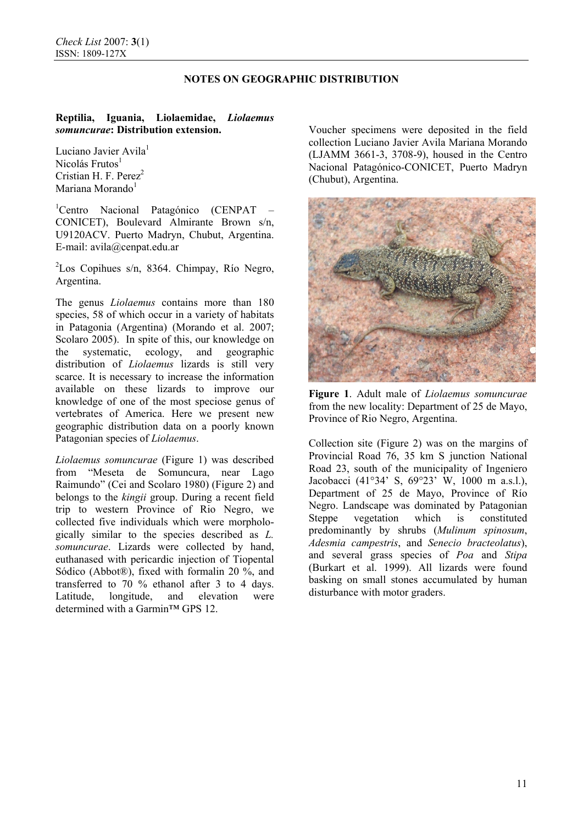### **NOTES ON GEOGRAPHIC DISTRIBUTION**

# **Reptilia, Iguania, Liolaemidae,** *Liolaemus somuncurae***: Distribution extension.**

Luciano Javier Avila<sup>1</sup>  $Nicolás Frutos<sup>1</sup>$ Cristian H. F. Perez<sup>2</sup> Mariana Morando $1$ 

<sup>1</sup>Centro Nacional Patagónico (CENPAT – CONICET), Boulevard Almirante Brown s/n, U9120ACV. Puerto Madryn, Chubut, Argentina. E-mail: avila@cenpat.edu.ar

2 Los Copihues s/n, 8364. Chimpay, Río Negro, Argentina.

The genus *Liolaemus* contains more than 180 species, 58 of which occur in a variety of habitats in Patagonia (Argentina) (Morando et al. 2007; Scolaro 2005). In spite of this, our knowledge on the systematic, ecology, and geographic distribution of *Liolaemus* lizards is still very scarce. It is necessary to increase the information available on these lizards to improve our knowledge of one of the most speciose genus of vertebrates of America. Here we present new geographic distribution data on a poorly known Patagonian species of *Liolaemus*.

*Liolaemus somuncurae* (Figure 1) was described from "Meseta de Somuncura, near Lago Raimundo" (Cei and Scolaro 1980) (Figure 2) and belongs to the *kingii* group. During a recent field trip to western Province of Rio Negro, we collected five individuals which were morphologically similar to the species described as *L. somuncurae*. Lizards were collected by hand, euthanased with pericardic injection of Tiopental Sódico (Abbot®), fixed with formalin 20 %, and transferred to 70 % ethanol after 3 to 4 days. Latitude, longitude, and elevation were determined with a Garmin™ GPS 12.

Voucher specimens were deposited in the field collection Luciano Javier Avila Mariana Morando (LJAMM 3661-3, 3708-9), housed in the Centro Nacional Patagónico-CONICET, Puerto Madryn (Chubut), Argentina.



**Figure 1**. Adult male of *Liolaemus somuncurae* from the new locality: Department of 25 de Mayo, Province of Rio Negro, Argentina.

Collection site (Figure 2) was on the margins of Provincial Road 76, 35 km S junction National Road 23, south of the municipality of Ingeniero Jacobacci (41°34' S, 69°23' W, 1000 m a.s.l.), Department of 25 de Mayo, Province of Río Negro. Landscape was dominated by Patagonian Steppe vegetation which is constituted predominantly by shrubs (*Mulinum spinosum*, *Adesmia campestris*, and *Senecio bracteolatus*), and several grass species of *Poa* and *Stipa* (Burkart et al. 1999). All lizards were found basking on small stones accumulated by human disturbance with motor graders.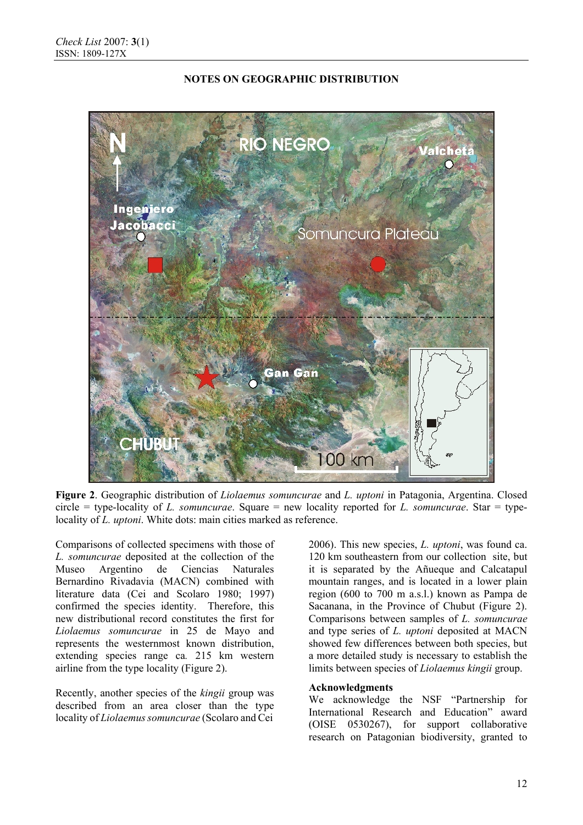

#### **NOTES ON GEOGRAPHIC DISTRIBUTION**

**Figure 2**. Geographic distribution of *Liolaemus somuncurae* and *L. uptoni* in Patagonia, Argentina. Closed circle = type-locality of *L. somuncurae*. Square = new locality reported for *L. somuncurae*. Star = typelocality of *L. uptoni*. White dots: main cities marked as reference.

Comparisons of collected specimens with those of *L. somuncurae* deposited at the collection of the Museo Argentino de Ciencias Naturales Bernardino Rivadavia (MACN) combined with literature data (Cei and Scolaro 1980; 1997) confirmed the species identity. Therefore, this new distributional record constitutes the first for *Liolaemus somuncurae* in 25 de Mayo and represents the westernmost known distribution, extending species range ca*.* 215 km western airline from the type locality (Figure 2).

Recently, another species of the *kingii* group was described from an area closer than the type locality of *Liolaemus somuncurae* (Scolaro and Cei

2006). This new species, *L. uptoni*, was found ca. 120 km southeastern from our collection site, but it is separated by the Añueque and Calcatapul mountain ranges, and is located in a lower plain region (600 to 700 m a.s.l.) known as Pampa de Sacanana, in the Province of Chubut (Figure 2). Comparisons between samples of *L. somuncurae* and type series of *L. uptoni* deposited at MACN showed few differences between both species, but a more detailed study is necessary to establish the limits between species of *Liolaemus kingii* group.

#### **Acknowledgments**

We acknowledge the NSF "Partnership for International Research and Education" award (OISE 0530267), for support collaborative research on Patagonian biodiversity, granted to